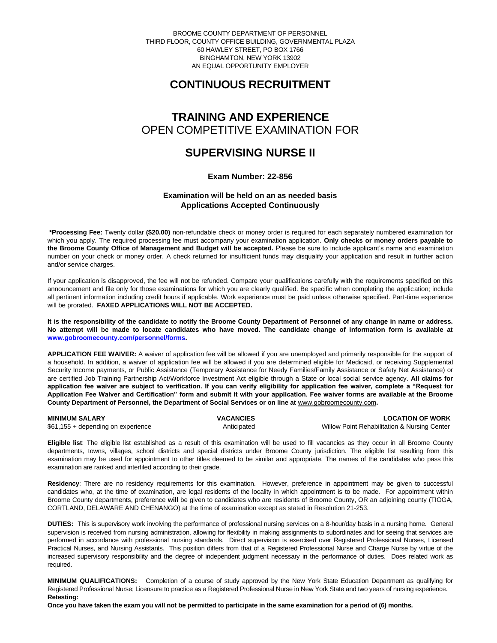BROOME COUNTY DEPARTMENT OF PERSONNEL THIRD FLOOR, COUNTY OFFICE BUILDING, GOVERNMENTAL PLAZA 60 HAWLEY STREET, PO BOX 1766 BINGHAMTON, NEW YORK 13902 AN EQUAL OPPORTUNITY EMPLOYER

# **CONTINUOUS RECRUITMENT**

## **TRAINING AND EXPERIENCE** OPEN COMPETITIVE EXAMINATION FOR

## **SUPERVISING NURSE II**

**Exam Number: 22-856**

### **Examination will be held on an as needed basis Applications Accepted Continuously**

**\*Processing Fee:** Twenty dollar **(\$20.00)** non-refundable check or money order is required for each separately numbered examination for which you apply. The required processing fee must accompany your examination application. **Only checks or money orders payable to the Broome County Office of Management and Budget will be accepted.** Please be sure to include applicant's name and examination number on your check or money order. A check returned for insufficient funds may disqualify your application and result in further action and/or service charges.

If your application is disapproved, the fee will not be refunded. Compare your qualifications carefully with the requirements specified on this announcement and file only for those examinations for which you are clearly qualified. Be specific when completing the application; include all pertinent information including credit hours if applicable. Work experience must be paid unless otherwise specified. Part-time experience will be prorated. **FAXED APPLICATIONS WILL NOT BE ACCEPTED.** 

**It is the responsibility of the candidate to notify the Broome County Department of Personnel of any change in name or address. No attempt will be made to locate candidates who have moved. The candidate change of information form is available at [www.gobroomecounty.com/personnel/forms.](http://www.gobroomecounty.com/personnel/forms)** 

**APPLICATION FEE WAIVER:** A waiver of application fee will be allowed if you are unemployed and primarily responsible for the support of a household. In addition, a waiver of application fee will be allowed if you are determined eligible for Medicaid, or receiving Supplemental Security Income payments, or Public Assistance (Temporary Assistance for Needy Families/Family Assistance or Safety Net Assistance) or are certified Job Training Partnership Act/Workforce Investment Act eligible through a State or local social service agency. **All claims for application fee waiver are subject to verification. If you can verify eligibility for application fee waiver, complete a "Request for Application Fee Waiver and Certification" form and submit it with your application. Fee waiver forms are available at the Broome**  County Department of Personnel, the Department of Social Services or on line at **www.gobroomecounty.com**.

| <b>MINIMUM SALARY</b>              | <b>VACANCIES</b> | <b>LOCATION OF WORK</b>                      |
|------------------------------------|------------------|----------------------------------------------|
| \$61,155 + depending on experience | Anticipated      | Willow Point Rehabilitation & Nursing Center |

**Eligible list**: The eligible list established as a result of this examination will be used to fill vacancies as they occur in all Broome County departments, towns, villages, school districts and special districts under Broome County jurisdiction. The eligible list resulting from this examination may be used for appointment to other titles deemed to be similar and appropriate. The names of the candidates who pass this examination are ranked and interfiled according to their grade.

**Residency**: There are no residency requirements for this examination. However, preference in appointment may be given to successful candidates who, at the time of examination, are legal residents of the locality in which appointment is to be made. For appointment within Broome County departments, preference **will** be given to candidates who are residents of Broome County, OR an adjoining county (TIOGA, CORTLAND, DELAWARE AND CHENANGO) at the time of examination except as stated in Resolution 21-253.

**DUTIES:** This is supervisory work involving the performance of professional nursing services on a 8-hour/day basis in a nursing home. General supervision is received from nursing administration, allowing for flexibility in making assignments to subordinates and for seeing that services are performed in accordance with professional nursing standards. Direct supervision is exercised over Registered Professional Nurses, Licensed Practical Nurses, and Nursing Assistants. This position differs from that of a Registered Professional Nurse and Charge Nurse by virtue of the increased supervisory responsibility and the degree of independent judgment necessary in the performance of duties. Does related work as required.

**MINIMUM QUALIFICATIONS:** Completion of a course of study approved by the New York State Education Department as qualifying for Registered Professional Nurse; Licensure to practice as a Registered Professional Nurse in New York State and two years of nursing experience. **Retesting:**

**Once you have taken the exam you will not be permitted to participate in the same examination for a period of (6) months.**